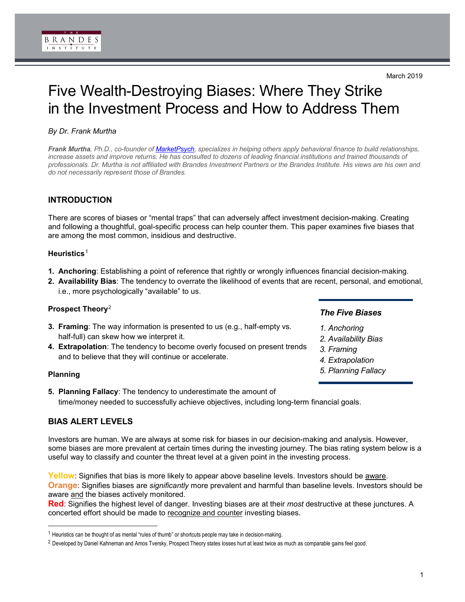# Five Wealth-Destroying Biases: Where They Strike in the Investment Process and How to Address Them

# *By Dr. Frank Murtha*

*Frank Murtha, Ph.D., co-founder of [MarketPsych,](http://www.marketpsych.com/) specializes in helping others apply behavioral finance to build relationships,*  increase assets and improve returns. He has consulted to dozens of leading financial institutions and trained thousands of *professionals. Dr. Murtha is not affiliated with Brandes Investment Partners or the Brandes Institute. His views are his own and do not necessarily represent those of Brandes.*

# **INTRODUCTION**

There are scores of biases or "mental traps" that can adversely affect investment decision-making. Creating and following a thoughtful, goal-specific process can help counter them. This paper examines five biases that are among the most common, insidious and destructive.

## **Heuristics**[1](#page-0-0)

- **1. Anchoring**: Establishing a point of reference that rightly or wrongly influences financial decision-making.
- **2. Availability Bias**: The tendency to overrate the likelihood of events that are recent, personal, and emotional, i.e., more psychologically "available" to us.

## **Prospect Theory**[2](#page-0-1)

- **3. Framing**: The way information is presented to us (e.g., half-empty vs. half-full) can skew how we interpret it.
- **4. Extrapolation**: The tendency to become overly focused on present trends and to believe that they will continue or accelerate.

## **Planning**

-

**5. Planning Fallacy**: The tendency to underestimate the amount of time/money needed to successfully achieve objectives, including long-term financial goals.

# **BIAS ALERT LEVELS**

Investors are human. We are always at some risk for biases in our decision-making and analysis. However, some biases are more prevalent at certain times during the investing journey. The bias rating system below is a useful way to classify and counter the threat level at a given point in the investing process.

**Yellow**: Signifies that bias is more likely to appear above baseline levels. Investors should be aware. **Orange**: Signifies biases are *significantly* more prevalent and harmful than baseline levels. Investors should be aware and the biases actively monitored.

**Red**: Signifies the highest level of danger. Investing biases are at their *most* destructive at these junctures. A concerted effort should be made to recognize and counter investing biases.

# *The Five Biases*

- *1. Anchoring*
- *2. Availability Bias*
- *3. Framing*
- *4. Extrapolation*
- *5. Planning Fallacy*

<span id="page-0-0"></span> $1$  Heuristics can be thought of as mental "rules of thumb" or shortcuts people may take in decision-making.

<span id="page-0-1"></span><sup>&</sup>lt;sup>2</sup> Developed by Daniel Kahneman and Amos Tversky, Prospect Theory states losses hurt at least twice as much as comparable gains feel good.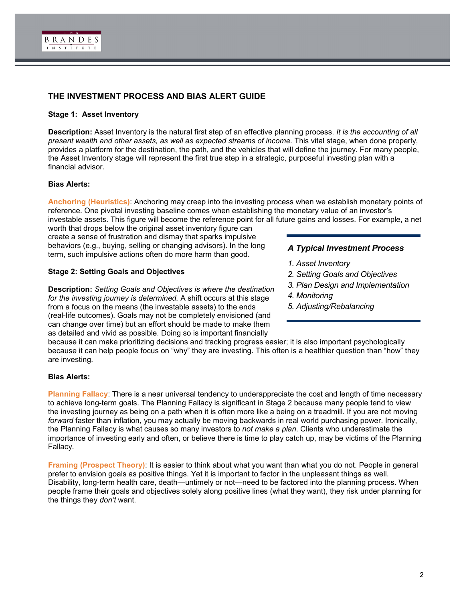

# **THE INVESTMENT PROCESS AND BIAS ALERT GUIDE**

#### **Stage 1: Asset Inventory**

**Description:** Asset Inventory is the natural first step of an effective planning process. *It is the accounting of all present wealth and other assets, as well as expected streams of income.* This vital stage, when done properly, provides a platform for the destination, the path, and the vehicles that will define the journey. For many people, the Asset Inventory stage will represent the first true step in a strategic, purposeful investing plan with a financial advisor.

#### **Bias Alerts:**

**Anchoring (Heuristics)**: Anchoring may creep into the investing process when we establish monetary points of reference. One pivotal investing baseline comes when establishing the monetary value of an investor's

investable assets. This figure will become the reference point for all future gains and losses. For example, a net worth that drops below the original asset inventory figure can

create a sense of frustration and dismay that sparks impulsive behaviors (e.g., buying, selling or changing advisors). In the long term, such impulsive actions often do more harm than good.

#### **Stage 2: Setting Goals and Objectives**

**Description:** *Setting Goals and Objectives is where the destination for the investing journey is determined.* A shift occurs at this stage from a focus on the means (the investable assets) to the ends (real-life outcomes). Goals may not be completely envisioned (and can change over time) but an effort should be made to make them as detailed and vivid as possible. Doing so is important financially

#### *A Typical Investment Process*

- *1. Asset Inventory*
- *2. Setting Goals and Objectives*
- *3. Plan Design and Implementation*
- *4. Monitoring*
- *5. Adjusting/Rebalancing*

because it can make prioritizing decisions and tracking progress easier; it is also important psychologically because it can help people focus on "why" they are investing. This often is a healthier question than "how" they are investing.

#### **Bias Alerts:**

**Planning Fallacy**: There is a near universal tendency to underappreciate the cost and length of time necessary to achieve long-term goals. The Planning Fallacy is significant in Stage 2 because many people tend to view the investing journey as being on a path when it is often more like a being on a treadmill. If you are not moving *forward* faster than inflation, you may actually be moving backwards in real world purchasing power. Ironically, the Planning Fallacy is what causes so many investors to *not make a plan*. Clients who underestimate the importance of investing early and often, or believe there is time to play catch up, may be victims of the Planning Fallacy.

**Framing (Prospect Theory):** It is easier to think about what you want than what you do not. People in general prefer to envision goals as positive things. Yet it is important to factor in the unpleasant things as well. Disability, long-term health care, death—untimely or not—need to be factored into the planning process. When people frame their goals and objectives solely along positive lines (what they want), they risk under planning for the things they *don't* want.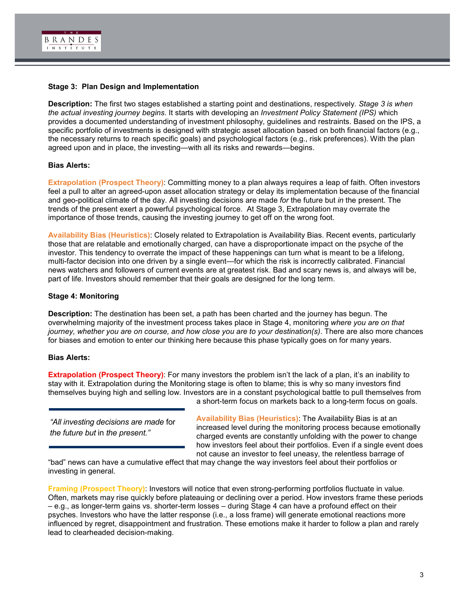

#### **Stage 3: Plan Design and Implementation**

**Description:** The first two stages established a starting point and destinations, respectively. *Stage 3 is when the actual investing journey begins*. It starts with developing an *Investment Policy Statement (IPS)* which provides a documented understanding of investment philosophy, guidelines and restraints. Based on the IPS, a specific portfolio of investments is designed with strategic asset allocation based on both financial factors (e.g., the necessary returns to reach specific goals) and psychological factors (e.g., risk preferences). With the plan agreed upon and in place, the investing—with all its risks and rewards—begins.

#### **Bias Alerts:**

**Extrapolation (Prospect Theory)**: Committing money to a plan always requires a leap of faith. Often investors feel a pull to alter an agreed-upon asset allocation strategy or delay its implementation because of the financial and geo-political climate of the day. All investing decisions are made *for* the future but *in* the present. The trends of the present exert a powerful psychological force. At Stage 3, Extrapolation may overrate the importance of those trends, causing the investing journey to get off on the wrong foot.

**Availability Bias (Heuristics)**: Closely related to Extrapolation is Availability Bias. Recent events, particularly those that are relatable and emotionally charged, can have a disproportionate impact on the psyche of the investor. This tendency to overrate the impact of these happenings can turn what is meant to be a lifelong, multi-factor decision into one driven by a single event—for which the risk is incorrectly calibrated. Financial news watchers and followers of current events are at greatest risk. Bad and scary news is, and always will be, part of life. Investors should remember that their goals are designed for the long term.

#### **Stage 4: Monitoring**

**Description:** The destination has been set, a path has been charted and the journey has begun. The overwhelming majority of the investment process takes place in Stage 4, monitoring *where you are on that journey, whether you are on course, and how close you are to your destination(s)*. There are also more chances for biases and emotion to enter our thinking here because this phase typically goes on for many years.

#### **Bias Alerts:**

**Extrapolation (Prospect Theory)**: For many investors the problem isn't the lack of a plan, it's an inability to stay with it. Extrapolation during the Monitoring stage is often to blame; this is why so many investors find themselves buying high and selling low. Investors are in a constant psychological battle to pull themselves from a short-term focus on markets back to a long-term focus on goals.

*"All investing decisions are made* for *the future but* in *the present."*

**Availability Bias (Heuristics)**: The Availability Bias is at an increased level during the monitoring process because emotionally charged events are constantly unfolding with the power to change how investors feel about their portfolios. Even if a single event does not cause an investor to feel uneasy, the relentless barrage of

"bad" news can have a cumulative effect that may change the way investors feel about their portfolios or investing in general.

**Framing (Prospect Theory)**: Investors will notice that even strong-performing portfolios fluctuate in value. Often, markets may rise quickly before plateauing or declining over a period. How investors frame these periods – e.g., as longer-term gains vs. shorter-term losses – during Stage 4 can have a profound effect on their psyches. Investors who have the latter response (i.e., a loss frame) will generate emotional reactions more influenced by regret, disappointment and frustration. These emotions make it harder to follow a plan and rarely lead to clearheaded decision-making.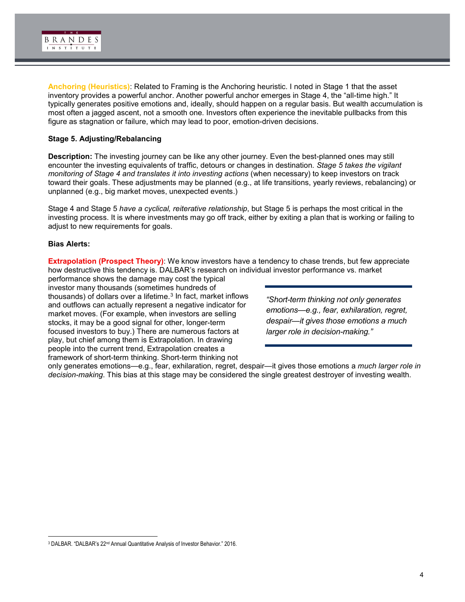

**Anchoring (Heuristics)**: Related to Framing is the Anchoring heuristic. I noted in Stage 1 that the asset inventory provides a powerful anchor. Another powerful anchor emerges in Stage 4, the "all-time high." It typically generates positive emotions and, ideally, should happen on a regular basis. But wealth accumulation is most often a jagged ascent, not a smooth one. Investors often experience the inevitable pullbacks from this figure as stagnation or failure, which may lead to poor, emotion-driven decisions.

#### **Stage 5. Adjusting/Rebalancing**

**Description:** The investing journey can be like any other journey. Even the best-planned ones may still encounter the investing equivalents of traffic, detours or changes in destination. *Stage 5 takes the vigilant monitoring of Stage 4 and translates it into investing actions* (when necessary) to keep investors on track toward their goals. These adjustments may be planned (e.g., at life transitions, yearly reviews, rebalancing) or unplanned (e.g., big market moves, unexpected events.)

Stage 4 and Stage 5 *have a cyclical, reiterative relationship*, but Stage 5 is perhaps the most critical in the investing process. It is where investments may go off track, either by exiting a plan that is working or failing to adjust to new requirements for goals.

#### **Bias Alerts:**

-

**Extrapolation (Prospect Theory)**: We know investors have a tendency to chase trends, but few appreciate how destructive this tendency is. DALBAR's research on individual investor performance vs. market

performance shows the damage may cost the typical investor many thousands (sometimes hundreds of thousands) of dollars over a lifetime.<sup>[3](#page-3-0)</sup> In fact, market inflows and outflows can actually represent a negative indicator for market moves. (For example, when investors are selling stocks, it may be a good signal for other, longer-term focused investors to buy.) There are numerous factors at play, but chief among them is Extrapolation. In drawing people into the current trend, Extrapolation creates a framework of short-term thinking. Short-term thinking not

*"Short-term thinking not only generates emotions—e.g., fear, exhilaration, regret, despair—it gives those emotions a much larger role in decision-making."*

only generates emotions—e.g., fear, exhilaration, regret, despair—it gives those emotions a *much larger role in decision-making*. This bias at this stage may be considered the single greatest destroyer of investing wealth.

<span id="page-3-0"></span><sup>3</sup> DALBAR. "DALBAR's 22nd Annual Quantitative Analysis of Investor Behavior." 2016.